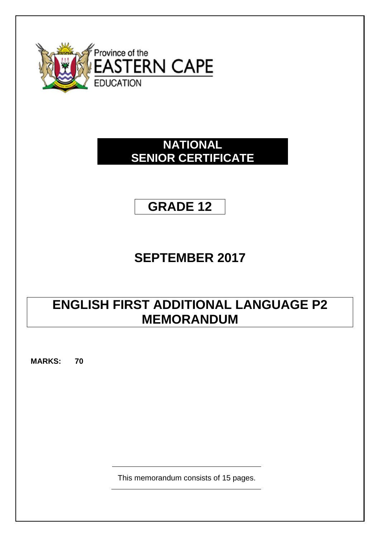

## **NATIONAL SENIOR CERTIFICATE**

## **GRADE 12**

# **SEPTEMBER 2017**

## **ENGLISH FIRST ADDITIONAL LANGUAGE P2 MEMORANDUM**

**MARKS: 70**

This memorandum consists of 15 pages.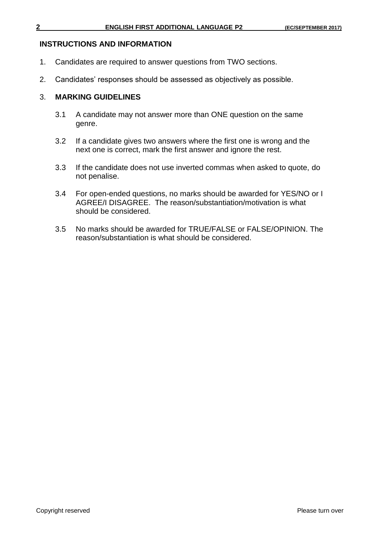#### **INSTRUCTIONS AND INFORMATION**

- 1. Candidates are required to answer questions from TWO sections.
- 2. Candidates' responses should be assessed as objectively as possible.

#### 3. **MARKING GUIDELINES**

- 3.1 A candidate may not answer more than ONE question on the same genre.
- 3.2 If a candidate gives two answers where the first one is wrong and the next one is correct, mark the first answer and ignore the rest.
- 3.3 If the candidate does not use inverted commas when asked to quote, do not penalise.
- 3.4 For open-ended questions, no marks should be awarded for YES/NO or I AGREE/I DISAGREE. The reason/substantiation/motivation is what should be considered.
- 3.5 No marks should be awarded for TRUE/FALSE or FALSE/OPINION. The reason/substantiation is what should be considered.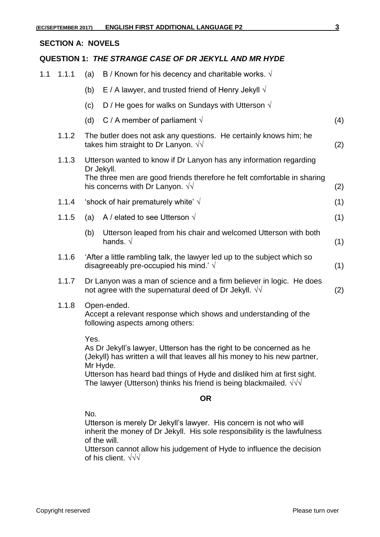#### **SECTION A: NOVELS**

#### **QUESTION 1:** *THE STRANGE CASE OF DR JEKYLL AND MR HYDE*

- 1.1 1.1.1 (a) B / Known for his decency and charitable works.  $\sqrt{ }$ 
	- (b) E / A lawyer, and trusted friend of Henry Jekyll  $\sqrt{ }$
	- (c) D / He goes for walks on Sundays with Utterson  $\sqrt{ }$
	- (d) C / A member of parliament  $\sqrt{ }$  (4)
	- 1.1.2 The butler does not ask any questions. He certainly knows him; he takes him straight to Dr Lanyon.  $\sqrt{v}$  (2)
	- 1.1.3 Utterson wanted to know if Dr Lanyon has any information regarding Dr Jekyll. The three men are good friends therefore he felt comfortable in sharing his concerns with Dr Lanyon.  $\sqrt{V}$  (2)
	- 1.1.4 'shock of hair prematurely white'  $\sqrt{ }$  (1)
	- 1.1.5 (a) A / elated to see Utterson  $\sqrt{ }$  (1)
		- (b) Utterson leaped from his chair and welcomed Utterson with both hands.  $\sqrt{ }$  (1)
	- 1.1.6 'After a little rambling talk, the lawyer led up to the subject which so disagreeably pre-occupied his mind.'  $\sqrt{ }$  (1)
	- 1.1.7 Dr Lanyon was a man of science and a firm believer in logic. He does not agree with the supernatural deed of Dr Jekyll.  $\sqrt{}$  (2)
	- 1.1.8 Open-ended.

Accept a relevant response which shows and understanding of the following aspects among others:

Yes.

As Dr Jekyll's lawyer, Utterson has the right to be concerned as he (Jekyll) has written a will that leaves all his money to his new partner, Mr Hyde.

Utterson has heard bad things of Hyde and disliked him at first sight. The lawyer (Utterson) thinks his friend is being blackmailed.  $\sqrt{\sqrt{}}$ 

#### **OR**

No.

Utterson is merely Dr Jekyll's lawyer. His concern is not who will inherit the money of Dr Jekyll. His sole responsibility is the lawfulness of the will.

Utterson cannot allow his judgement of Hyde to influence the decision of his client. √√√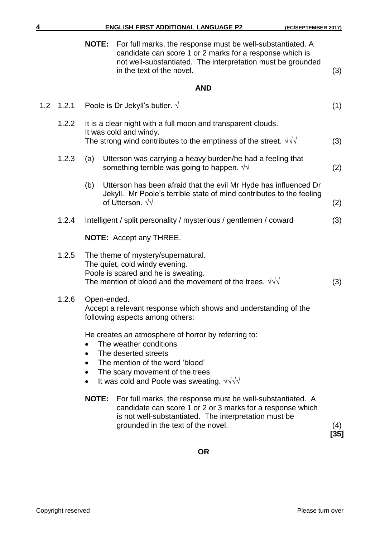| 4   |       | <b>ENGLISH FIRST ADDITIONAL LANGUAGE P2</b><br>(EC/SEPTEMBER 2017) |                                                                                                                                                                                                                               |             |
|-----|-------|--------------------------------------------------------------------|-------------------------------------------------------------------------------------------------------------------------------------------------------------------------------------------------------------------------------|-------------|
|     |       | <b>NOTE:</b>                                                       | For full marks, the response must be well-substantiated. A<br>candidate can score 1 or 2 marks for a response which is<br>not well-substantiated. The interpretation must be grounded<br>in the text of the novel.            | (3)         |
|     |       |                                                                    | <b>AND</b>                                                                                                                                                                                                                    |             |
| 1.2 | 1.2.1 |                                                                    | Poole is Dr Jekyll's butler. $\sqrt{ }$                                                                                                                                                                                       | (1)         |
|     | 1.2.2 |                                                                    | It is a clear night with a full moon and transparent clouds.<br>It was cold and windy.<br>The strong wind contributes to the emptiness of the street. $\sqrt{v}$                                                              | (3)         |
|     |       |                                                                    |                                                                                                                                                                                                                               |             |
|     | 1.2.3 | (a)                                                                | Utterson was carrying a heavy burden/he had a feeling that<br>something terrible was going to happen. $\sqrt{v}$                                                                                                              | (2)         |
|     |       | (b)                                                                | Utterson has been afraid that the evil Mr Hyde has influenced Dr<br>Jekyll. Mr Poole's terrible state of mind contributes to the feeling<br>of Utterson. $\sqrt{v}$                                                           | (2)         |
|     | 1.2.4 |                                                                    | Intelligent / split personality / mysterious / gentlemen / coward                                                                                                                                                             | (3)         |
|     |       |                                                                    | <b>NOTE:</b> Accept any THREE.                                                                                                                                                                                                |             |
|     | 1.2.5 |                                                                    | The theme of mystery/supernatural.<br>The quiet, cold windy evening.<br>Poole is scared and he is sweating.<br>The mention of blood and the movement of the trees. $\sqrt{d}$                                                 | (3)         |
|     | 1.2.6 | Open-ended.                                                        | Accept a relevant response which shows and understanding of the<br>following aspects among others:                                                                                                                            |             |
|     |       | $\bullet$<br>$\bullet$<br>$\bullet$<br>$\bullet$                   | He creates an atmosphere of horror by referring to:<br>The weather conditions<br>The deserted streets<br>The mention of the word 'blood'<br>The scary movement of the trees<br>It was cold and Poole was sweating. $\sqrt{v}$ |             |
|     |       | <b>NOTE:</b>                                                       | For full marks, the response must be well-substantiated. A<br>candidate can score 1 or 2 or 3 marks for a response which<br>is not well-substantiated. The interpretation must be<br>grounded in the text of the novel.       | (4)<br>[35] |

**OR**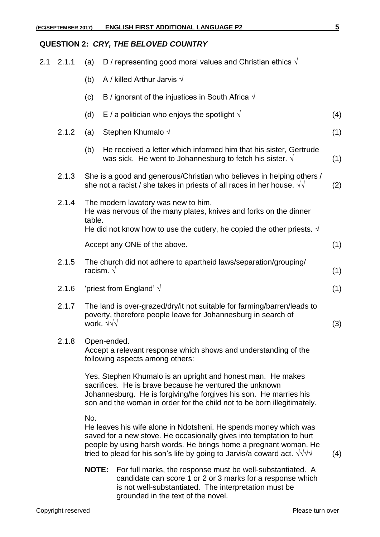### **QUESTION 2:** *CRY, THE BELOVED COUNTRY*

| 2.1 | 2.1.1 | (a)          | D / representing good moral values and Christian ethics $\sqrt{ }$                                                                                                                                                                                                                            |     |
|-----|-------|--------------|-----------------------------------------------------------------------------------------------------------------------------------------------------------------------------------------------------------------------------------------------------------------------------------------------|-----|
|     |       | (b)          | A / killed Arthur Jarvis $\sqrt{}$                                                                                                                                                                                                                                                            |     |
|     |       | (c)          | B / ignorant of the injustices in South Africa $\sqrt{ }$                                                                                                                                                                                                                                     |     |
|     |       | (d)          | E / a politician who enjoys the spotlight $\sqrt{ }$                                                                                                                                                                                                                                          | (4) |
|     | 2.1.2 | (a)          | Stephen Khumalo √                                                                                                                                                                                                                                                                             | (1) |
|     |       | (b)          | He received a letter which informed him that his sister, Gertrude<br>was sick. He went to Johannesburg to fetch his sister. $\sqrt{ }$                                                                                                                                                        | (1) |
|     | 2.1.3 |              | She is a good and generous/Christian who believes in helping others /<br>she not a racist / she takes in priests of all races in her house. $\sqrt{v}$                                                                                                                                        | (2) |
|     | 2.1.4 | table.       | The modern lavatory was new to him.<br>He was nervous of the many plates, knives and forks on the dinner                                                                                                                                                                                      |     |
|     |       |              | He did not know how to use the cutlery, he copied the other priests. $\sqrt{ }$                                                                                                                                                                                                               |     |
|     |       |              | Accept any ONE of the above.                                                                                                                                                                                                                                                                  | (1) |
|     | 2.1.5 |              | The church did not adhere to apartheid laws/separation/grouping/<br>racism. $\sqrt{ }$                                                                                                                                                                                                        | (1) |
|     | 2.1.6 |              | 'priest from England' $\sqrt{ }$                                                                                                                                                                                                                                                              | (1) |
|     | 2.1.7 |              | The land is over-grazed/dry/it not suitable for farming/barren/leads to<br>poverty, therefore people leave for Johannesburg in search of<br>work. $\sqrt{\sqrt{}}$                                                                                                                            | (3) |
|     | 2.1.8 |              | Open-ended<br>Accept a relevant response which shows and understanding of the<br>following aspects among others:                                                                                                                                                                              |     |
|     |       |              | Yes. Stephen Khumalo is an upright and honest man. He makes<br>sacrifices. He is brave because he ventured the unknown<br>Johannesburg. He is forgiving/he forgives his son. He marries his<br>son and the woman in order for the child not to be born illegitimately.                        |     |
|     |       | No.          | He leaves his wife alone in Ndotsheni. He spends money which was<br>saved for a new stove. He occasionally gives into temptation to hurt<br>people by using harsh words. He brings home a pregnant woman. He<br>tried to plead for his son's life by going to Jarvis/a coward act. $\sqrt{v}$ | (4) |
|     |       | <b>NOTE:</b> | For full marks, the response must be well-substantiated. A<br>candidate can score 1 or 2 or 3 marks for a response which<br>is not well-substantiated. The interpretation must be<br>grounded in the text of the novel.                                                                       |     |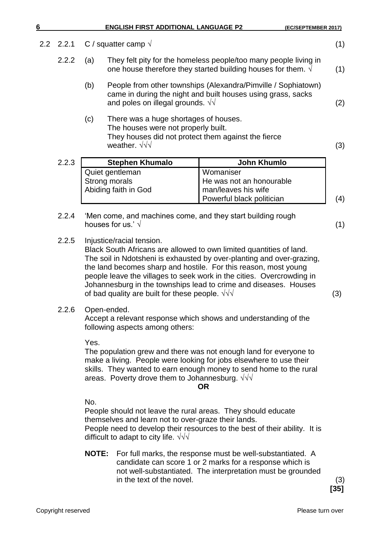| $2.2\,$ | 2.2.1 |               | C / squatter camp $\sqrt{ }$                                                                                                                                     |                                                                                                                                                                                                                                                                                                                                                              | (1)           |
|---------|-------|---------------|------------------------------------------------------------------------------------------------------------------------------------------------------------------|--------------------------------------------------------------------------------------------------------------------------------------------------------------------------------------------------------------------------------------------------------------------------------------------------------------------------------------------------------------|---------------|
|         | 2.2.2 | (a)           |                                                                                                                                                                  | They felt pity for the homeless people/too many people living in<br>one house therefore they started building houses for them. $\sqrt{ }$                                                                                                                                                                                                                    | (1)           |
|         |       | (b)           | and poles on illegal grounds. $\sqrt{v}$                                                                                                                         | People from other townships (Alexandra/Pimville / Sophiatown)<br>came in during the night and built houses using grass, sacks                                                                                                                                                                                                                                | (2)           |
|         |       | (c)           | There was a huge shortages of houses.<br>The houses were not properly built.<br>They houses did not protect them against the fierce<br>weather. $\sqrt{\sqrt{}}$ |                                                                                                                                                                                                                                                                                                                                                              | (3)           |
|         | 2.2.3 |               | <b>Stephen Khumalo</b>                                                                                                                                           | <b>John Khumlo</b>                                                                                                                                                                                                                                                                                                                                           |               |
|         |       | Strong morals | Quiet gentleman<br>Abiding faith in God                                                                                                                          | Womaniser<br>He was not an honourable<br>man/leaves his wife<br>Powerful black politician                                                                                                                                                                                                                                                                    | (4)           |
|         |       |               |                                                                                                                                                                  |                                                                                                                                                                                                                                                                                                                                                              |               |
|         | 2.2.4 |               | houses for us.' $\sqrt{ }$                                                                                                                                       | 'Men come, and machines come, and they start building rough                                                                                                                                                                                                                                                                                                  | (1)           |
|         | 2.2.5 |               | Injustice/racial tension.<br>of bad quality are built for these people. $\sqrt{v}$                                                                               | Black South Africans are allowed to own limited quantities of land.<br>The soil in Ndotsheni is exhausted by over-planting and over-grazing,<br>the land becomes sharp and hostile. For this reason, most young<br>people leave the villages to seek work in the cities. Overcrowding in<br>Johannesburg in the townships lead to crime and diseases. Houses | (3)           |
|         | 2.2.6 | Open-ended.   | following aspects among others:                                                                                                                                  | Accept a relevant response which shows and understanding of the                                                                                                                                                                                                                                                                                              |               |
|         |       | Yes.          | areas. Poverty drove them to Johannesburg. $\sqrt{v}$                                                                                                            | The population grew and there was not enough land for everyone to<br>make a living. People were looking for jobs elsewhere to use their<br>skills. They wanted to earn enough money to send home to the rural<br><b>OR</b>                                                                                                                                   |               |
|         |       | No.           | themselves and learn not to over-graze their lands.<br>difficult to adapt to city life. $\sqrt{v}$                                                               | People should not leave the rural areas. They should educate<br>People need to develop their resources to the best of their ability. It is                                                                                                                                                                                                                   |               |
|         |       | <b>NOTE:</b>  | in the text of the novel.                                                                                                                                        | For full marks, the response must be well-substantiated. A<br>candidate can score 1 or 2 marks for a response which is<br>not well-substantiated. The interpretation must be grounded                                                                                                                                                                        | (3)<br>$[35]$ |

**6 ENGLISH FIRST ADDITIONAL LANGUAGE P2 (EC/SEPTEMBER 2017)**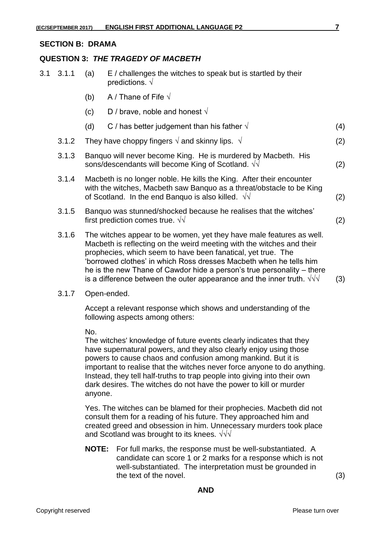#### **SECTION B: DRAMA**

#### **QUESTION 3:** *THE TRAGEDY OF MACBETH*

| 3.1 | 3.1.1 | (a) | E / challenges the witches to speak but is startled by their<br>predictions. $\sqrt{ }$                                                                                                                                                                                                                                                                                                                                                       |     |
|-----|-------|-----|-----------------------------------------------------------------------------------------------------------------------------------------------------------------------------------------------------------------------------------------------------------------------------------------------------------------------------------------------------------------------------------------------------------------------------------------------|-----|
|     |       | (b) | A / Thane of Fife $\sqrt{}$                                                                                                                                                                                                                                                                                                                                                                                                                   |     |
|     |       | (c) | D / brave, noble and honest $\sqrt{}$                                                                                                                                                                                                                                                                                                                                                                                                         |     |
|     |       | (d) | C / has better judgement than his father $\sqrt{ }$                                                                                                                                                                                                                                                                                                                                                                                           | (4) |
|     | 3.1.2 |     | They have choppy fingers $\sqrt{ }$ and skinny lips. $\sqrt{ }$                                                                                                                                                                                                                                                                                                                                                                               | (2) |
|     | 3.1.3 |     | Banquo will never become King. He is murdered by Macbeth. His<br>sons/descendants will become King of Scotland. $\sqrt{v}$                                                                                                                                                                                                                                                                                                                    | (2) |
|     | 3.1.4 |     | Macbeth is no longer noble. He kills the King. After their encounter<br>with the witches, Macbeth saw Banquo as a threat/obstacle to be King<br>of Scotland. In the end Banquo is also killed. $\sqrt{v}$                                                                                                                                                                                                                                     | (2) |
|     | 3.1.5 |     | Banquo was stunned/shocked because he realises that the witches'<br>first prediction comes true. $\sqrt{v}$                                                                                                                                                                                                                                                                                                                                   | (2) |
|     | 3.1.6 |     | The witches appear to be women, yet they have male features as well.<br>Macbeth is reflecting on the weird meeting with the witches and their<br>prophecies, which seem to have been fanatical, yet true. The<br>'borrowed clothes' in which Ross dresses Macbeth when he tells him<br>he is the new Thane of Cawdor hide a person's true personality – there<br>is a difference between the outer appearance and the inner truth. $\sqrt{v}$ | (3) |

#### 3.1.7 Open-ended.

Accept a relevant response which shows and understanding of the following aspects among others:

No.

The witches' knowledge of future events clearly indicates that they have supernatural powers, and they also clearly enjoy using those powers to cause chaos and confusion among mankind. But it is important to realise that the witches never force anyone to do anything. Instead, they tell half-truths to trap people into giving into their own dark desires. The witches do not have the power to kill or murder anyone.

Yes. The witches can be blamed for their prophecies. Macbeth did not consult them for a reading of his future. They approached him and created greed and obsession in him. Unnecessary murders took place and Scotland was brought to its knees. √√√

**NOTE:** For full marks, the response must be well-substantiated. A candidate can score 1 or 2 marks for a response which is not well-substantiated. The interpretation must be grounded in the text of the novel. (3)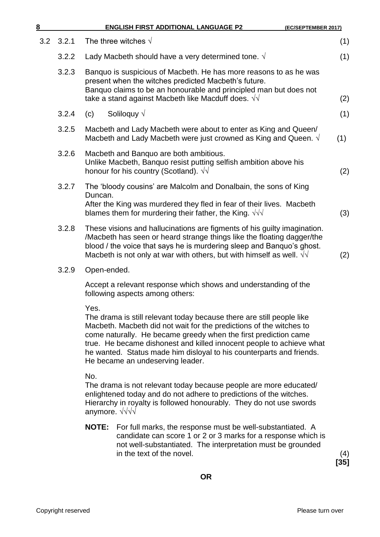| 8   |       | <b>ENGLISH FIRST ADDITIONAL LANGUAGE P2</b><br>(EC/SEPTEMBER 2017)                                                                                                                                                                                                                                                                                                                                          |     |
|-----|-------|-------------------------------------------------------------------------------------------------------------------------------------------------------------------------------------------------------------------------------------------------------------------------------------------------------------------------------------------------------------------------------------------------------------|-----|
| 3.2 | 3.2.1 | The three witches $\sqrt{ }$                                                                                                                                                                                                                                                                                                                                                                                | (1) |
|     | 3.2.2 | Lady Macbeth should have a very determined tone. $\sqrt{ }$                                                                                                                                                                                                                                                                                                                                                 | (1) |
|     | 3.2.3 | Banquo is suspicious of Macbeth. He has more reasons to as he was<br>present when the witches predicted Macbeth's future.<br>Banquo claims to be an honourable and principled man but does not<br>take a stand against Macbeth like Macduff does. $\sqrt{v}$                                                                                                                                                | (2) |
|     | 3.2.4 | Soliloquy $\sqrt$<br>(c)                                                                                                                                                                                                                                                                                                                                                                                    | (1) |
|     | 3.2.5 | Macbeth and Lady Macbeth were about to enter as King and Queen/<br>Macbeth and Lady Macbeth were just crowned as King and Queen. $\sqrt{ }$                                                                                                                                                                                                                                                                 | (1) |
|     | 3.2.6 | Macbeth and Banquo are both ambitious.<br>Unlike Macbeth, Banquo resist putting selfish ambition above his<br>honour for his country (Scotland). $\sqrt{v}$                                                                                                                                                                                                                                                 | (2) |
|     | 3.2.7 | The 'bloody cousins' are Malcolm and Donalbain, the sons of King                                                                                                                                                                                                                                                                                                                                            |     |
|     |       | Duncan.<br>After the King was murdered they fled in fear of their lives. Macbeth<br>blames them for murdering their father, the King. $\sqrt{v}$                                                                                                                                                                                                                                                            | (3) |
|     | 3.2.8 | These visions and hallucinations are figments of his guilty imagination.<br>Macbeth has seen or heard strange things like the floating dagger/the<br>blood / the voice that says he is murdering sleep and Banquo's ghost.<br>Macbeth is not only at war with others, but with himself as well. $\sqrt{v}$                                                                                                  | (2) |
|     | 3.2.9 | Open-ended.                                                                                                                                                                                                                                                                                                                                                                                                 |     |
|     |       | Accept a relevant response which shows and understanding of the<br>following aspects among others:                                                                                                                                                                                                                                                                                                          |     |
|     |       | Yes.<br>The drama is still relevant today because there are still people like<br>Macbeth. Macbeth did not wait for the predictions of the witches to<br>come naturally. He became greedy when the first prediction came<br>true. He became dishonest and killed innocent people to achieve what<br>he wanted. Status made him disloyal to his counterparts and friends.<br>He became an undeserving leader. |     |
|     |       | No.<br>The drama is not relevant today because people are more educated/<br>enlightened today and do not adhere to predictions of the witches.<br>Hierarchy in royalty is followed honourably. They do not use swords<br>anymore. $\sqrt{\sqrt{}}\sqrt{}$                                                                                                                                                   |     |

**NOTE:** For full marks, the response must be well-substantiated. A candidate can score 1 or 2 or 3 marks for a response which is not well-substantiated. The interpretation must be grounded in the text of the novel. (4)

**[35]**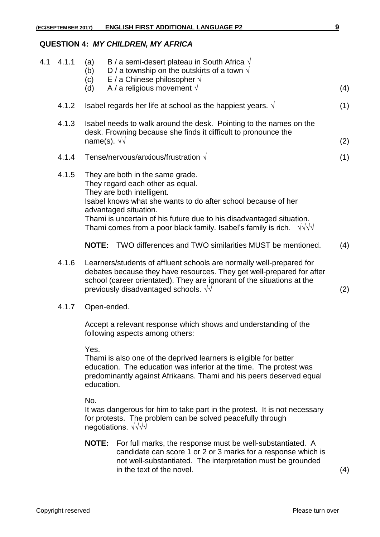### **QUESTION 4:** *MY CHILDREN, MY AFRICA*

| 4.1 | 4.1.1 | (a)<br>(b)<br>(c)<br>(d)                                                                                                                                           | B / a semi-desert plateau in South Africa $\sqrt{ }$<br>D / a township on the outskirts of a town $\sqrt{ }$<br>E / a Chinese philosopher $\sqrt{ }$<br>A / a religious movement $\sqrt{}$                                                                                                                                                        | (4) |  |
|-----|-------|--------------------------------------------------------------------------------------------------------------------------------------------------------------------|---------------------------------------------------------------------------------------------------------------------------------------------------------------------------------------------------------------------------------------------------------------------------------------------------------------------------------------------------|-----|--|
|     | 4.1.2 |                                                                                                                                                                    | Isabel regards her life at school as the happiest years. $\sqrt{ }$                                                                                                                                                                                                                                                                               | (1) |  |
|     | 4.1.3 | Isabel needs to walk around the desk. Pointing to the names on the<br>desk. Frowning because she finds it difficult to pronounce the<br>name(s). $\sqrt{\sqrt{ }}$ |                                                                                                                                                                                                                                                                                                                                                   |     |  |
|     | 4.1.4 |                                                                                                                                                                    | Tense/nervous/anxious/frustration $\sqrt{ }$                                                                                                                                                                                                                                                                                                      | (1) |  |
|     | 4.1.5 |                                                                                                                                                                    | They are both in the same grade.<br>They regard each other as equal.<br>They are both intelligent.<br>Isabel knows what she wants to do after school because of her<br>advantaged situation.<br>Thami is uncertain of his future due to his disadvantaged situation.<br>Thami comes from a poor black family. Isabel's family is rich. $\sqrt{v}$ |     |  |
|     |       |                                                                                                                                                                    | <b>NOTE:</b> TWO differences and TWO similarities MUST be mentioned.                                                                                                                                                                                                                                                                              | (4) |  |
|     | 4.1.6 |                                                                                                                                                                    | Learners/students of affluent schools are normally well-prepared for<br>debates because they have resources. They get well-prepared for after<br>school (career orientated). They are ignorant of the situations at the<br>previously disadvantaged schools. $\sqrt{v}$                                                                           | (2) |  |
|     | 4.1.7 | Open-ended.                                                                                                                                                        |                                                                                                                                                                                                                                                                                                                                                   |     |  |
|     |       |                                                                                                                                                                    | Accept a relevant response which shows and understanding of the<br>following aspects among others:                                                                                                                                                                                                                                                |     |  |
|     |       | Yes.<br>education.                                                                                                                                                 | Thami is also one of the deprived learners is eligible for better<br>education. The education was inferior at the time. The protest was<br>predominantly against Afrikaans. Thami and his peers deserved equal                                                                                                                                    |     |  |
|     |       | No.                                                                                                                                                                | It was dangerous for him to take part in the protest. It is not necessary<br>for protests. The problem can be solved peacefully through<br>negotiations. $\sqrt{\sqrt{}}$                                                                                                                                                                         |     |  |
|     |       |                                                                                                                                                                    | <b>NOTE:</b> For full marks, the response must be well-substantiated. A<br>candidate can score 1 or 2 or 3 marks for a response which is                                                                                                                                                                                                          |     |  |

not well-substantiated. The interpretation must be grounded

in the text of the novel. (4)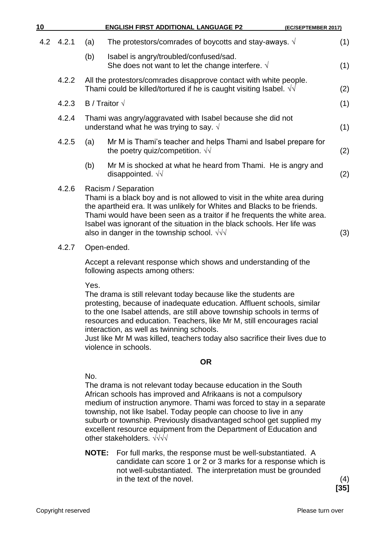| 10 |               |                     | <b>ENGLISH FIRST ADDITIONAL LANGUAGE P2</b>                                                                                                                                                                                                                                                                                                                                                                                                                  | (EC/SEPTEMBER 2017) |     |
|----|---------------|---------------------|--------------------------------------------------------------------------------------------------------------------------------------------------------------------------------------------------------------------------------------------------------------------------------------------------------------------------------------------------------------------------------------------------------------------------------------------------------------|---------------------|-----|
|    | $4.2$ $4.2.1$ | (a)                 | The protestors/comrades of boycotts and stay-aways. $\sqrt{ }$                                                                                                                                                                                                                                                                                                                                                                                               |                     | (1) |
|    |               | (b)                 | Isabel is angry/troubled/confused/sad.<br>She does not want to let the change interfere. $\sqrt{ }$                                                                                                                                                                                                                                                                                                                                                          |                     | (1) |
|    | 4.2.2         |                     | All the protestors/comrades disapprove contact with white people.<br>Thami could be killed/tortured if he is caught visiting Isabel. $\sqrt{v}$                                                                                                                                                                                                                                                                                                              |                     | (2) |
|    | 4.2.3         | B / Traitor $\sqrt$ |                                                                                                                                                                                                                                                                                                                                                                                                                                                              |                     | (1) |
|    | 4.2.4         |                     | Thami was angry/aggravated with Isabel because she did not<br>understand what he was trying to say. $\sqrt{ }$                                                                                                                                                                                                                                                                                                                                               |                     | (1) |
|    | 4.2.5         | (a)                 | Mr M is Thami's teacher and helps Thami and Isabel prepare for<br>the poetry quiz/competition. $\sqrt{v}$                                                                                                                                                                                                                                                                                                                                                    |                     | (2) |
|    |               | (b)                 | Mr M is shocked at what he heard from Thami. He is angry and<br>disappointed. $\sqrt{v}$                                                                                                                                                                                                                                                                                                                                                                     |                     | (2) |
|    | 4.2.6         |                     | Racism / Separation<br>Thami is a black boy and is not allowed to visit in the white area during<br>the apartheid era. It was unlikely for Whites and Blacks to be friends.<br>Thami would have been seen as a traitor if he frequents the white area.<br>Isabel was ignorant of the situation in the black schools. Her life was<br>also in danger in the township school. $\sqrt{v}$                                                                       |                     | (3) |
|    | 4.2.7         |                     | Open-ended.                                                                                                                                                                                                                                                                                                                                                                                                                                                  |                     |     |
|    |               |                     | Accept a relevant response which shows and understanding of the<br>following aspects among others:                                                                                                                                                                                                                                                                                                                                                           |                     |     |
|    |               | Yes.                | The drama is still relevant today because like the students are<br>protesting, because of inadequate education. Affluent schools, similar<br>to the one Isabel attends, are still above township schools in terms of<br>resources and education. Teachers, like Mr M, still encourages racial<br>interaction, as well as twinning schools.<br>Just like Mr M was killed, teachers today also sacrifice their lives due to<br>violence in schools.            |                     |     |
|    |               |                     | <b>OR</b>                                                                                                                                                                                                                                                                                                                                                                                                                                                    |                     |     |
|    |               | No.                 | The drama is not relevant today because education in the South<br>African schools has improved and Afrikaans is not a compulsory<br>medium of instruction anymore. Thami was forced to stay in a separate<br>township, not like Isabel. Today people can choose to live in any<br>suburb or township. Previously disadvantaged school get supplied my<br>excellent resource equipment from the Department of Education and<br>other stakeholders. $\sqrt{v}$ |                     |     |
|    |               | <b>NOTE:</b>        | For full marks, the response must be well-substantiated. A<br>candidate can score 1 or 2 or 3 marks for a response which is<br>not well-substantiated. The interpretation must be grounded<br>in the text of the novel.                                                                                                                                                                                                                                      |                     | (4) |

**[35]**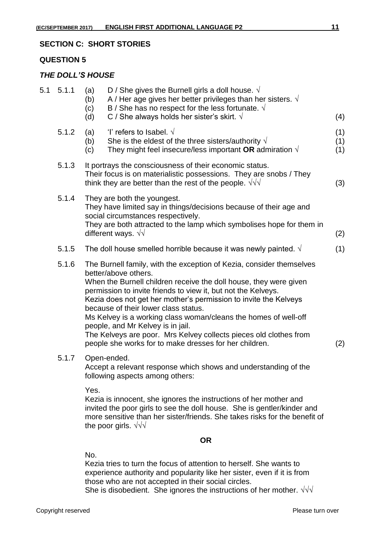#### **SECTION C: SHORT STORIES**

#### **QUESTION 5**

#### *THE DOLL'S HOUSE*

| 5.1 | 5.1.1 | (a)<br>(b)<br>(c)<br>(d) | D / She gives the Burnell girls a doll house. $\sqrt{ }$<br>A / Her age gives her better privileges than her sisters. $\sqrt{ }$<br>B / She has no respect for the less fortunate. $\sqrt{ }$<br>C / She always holds her sister's skirt. $\sqrt{ }$                                                                                                                                                                                                                                                                                                                                  | (4)               |
|-----|-------|--------------------------|---------------------------------------------------------------------------------------------------------------------------------------------------------------------------------------------------------------------------------------------------------------------------------------------------------------------------------------------------------------------------------------------------------------------------------------------------------------------------------------------------------------------------------------------------------------------------------------|-------------------|
|     | 5.1.2 | (a)<br>(b)<br>(c)        | 'l' refers to Isabel. $\sqrt{ }$<br>She is the eldest of the three sisters/authority $\sqrt{ }$<br>They might feel insecure/less important OR admiration $\sqrt{ }$                                                                                                                                                                                                                                                                                                                                                                                                                   | (1)<br>(1)<br>(1) |
|     | 5.1.3 |                          | It portrays the consciousness of their economic status.<br>Their focus is on materialistic possessions. They are snobs / They<br>think they are better than the rest of the people. $\sqrt{v}$                                                                                                                                                                                                                                                                                                                                                                                        | (3)               |
|     | 5.1.4 |                          | They are both the youngest.<br>They have limited say in things/decisions because of their age and<br>social circumstances respectively.<br>They are both attracted to the lamp which symbolises hope for them in<br>different ways. $\sqrt{v}$                                                                                                                                                                                                                                                                                                                                        | (2)               |
|     | 5.1.5 |                          | The doll house smelled horrible because it was newly painted. $\sqrt{ }$                                                                                                                                                                                                                                                                                                                                                                                                                                                                                                              | (1)               |
|     | 5.1.6 |                          | The Burnell family, with the exception of Kezia, consider themselves<br>better/above others.<br>When the Burnell children receive the doll house, they were given<br>permission to invite friends to view it, but not the Kelveys.<br>Kezia does not get her mother's permission to invite the Kelveys<br>because of their lower class status.<br>Ms Kelvey is a working class woman/cleans the homes of well-off<br>people, and Mr Kelvey is in jail.<br>The Kelveys are poor. Mrs Kelvey collects pieces old clothes from<br>people she works for to make dresses for her children. | (2)               |
|     | 5.1.7 |                          | Open-ended.<br>Accept a relevant response which shows and understanding of the<br>following aspects among others:                                                                                                                                                                                                                                                                                                                                                                                                                                                                     |                   |
|     |       | Yes.                     | Kezia is innocent, she ignores the instructions of her mother and<br>invited the poor girls to see the doll house. She is gentler/kinder and<br>more sensitive than her sister/friends. She takes risks for the benefit of                                                                                                                                                                                                                                                                                                                                                            |                   |

#### **OR**

No.

the poor girls. √√√

Kezia tries to turn the focus of attention to herself. She wants to experience authority and popularity like her sister, even if it is from those who are not accepted in their social circles. She is disobedient. She ignores the instructions of her mother.  $\sqrt{v}$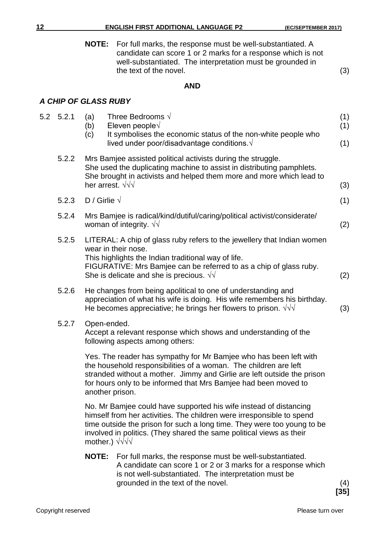**NOTE:** For full marks, the response must be well-substantiated. A candidate can score 1 or 2 marks for a response which is not well-substantiated. The interpretation must be grounded in the text of the novel. (3)

#### **AND**

## *A CHIP OF GLASS RUBY*

| 5.2 5.2.1 | Three Bedrooms $\sqrt{ }$<br>(a)<br>Eleven people $\sqrt{}$<br>(b)<br>It symbolises the economic status of the non-white people who<br>(c)                                                                                                                                                                           | (1)<br>(1) |
|-----------|----------------------------------------------------------------------------------------------------------------------------------------------------------------------------------------------------------------------------------------------------------------------------------------------------------------------|------------|
|           | lived under poor/disadvantage conditions. $\sqrt{ }$                                                                                                                                                                                                                                                                 | (1)        |
| 5.2.2     | Mrs Bamjee assisted political activists during the struggle.<br>She used the duplicating machine to assist in distributing pamphlets.<br>She brought in activists and helped them more and more which lead to<br>her arrest. $\sqrt{v}$                                                                              | (3)        |
| 5.2.3     | D / Girlie $\sqrt$                                                                                                                                                                                                                                                                                                   | (1)        |
| 5.2.4     | Mrs Bamjee is radical/kind/dutiful/caring/political activist/considerate/<br>woman of integrity. $\sqrt{v}$                                                                                                                                                                                                          | (2)        |
| 5.2.5     | LITERAL: A chip of glass ruby refers to the jewellery that Indian women<br>wear in their nose.<br>This highlights the Indian traditional way of life.<br>FIGURATIVE: Mrs Bamjee can be referred to as a chip of glass ruby.<br>She is delicate and she is precious. $\sqrt{v}$                                       | (2)        |
| 5.2.6     | He changes from being apolitical to one of understanding and<br>appreciation of what his wife is doing. His wife remembers his birthday.<br>He becomes appreciative; he brings her flowers to prison. $\sqrt{d}$                                                                                                     | (3)        |
| 5.2.7     | Open-ended.<br>Accept a relevant response which shows and understanding of the<br>following aspects among others:                                                                                                                                                                                                    |            |
|           | Yes. The reader has sympathy for Mr Bamjee who has been left with<br>the household responsibilities of a woman. The children are left<br>stranded without a mother. Jimmy and Girlie are left outside the prison<br>for hours only to be informed that Mrs Bamjee had been moved to<br>another prison.               |            |
|           | No. Mr Bamjee could have supported his wife instead of distancing<br>himself from her activities. The children were irresponsible to spend<br>time outside the prison for such a long time. They were too young to be<br>involved in politics. (They shared the same political views as their<br>mother.) $\sqrt{v}$ |            |
|           | $\mathbf{M} \cap \mathbf{T} \mathbf{F}$ , $\mathbf{F}$ and $\mathbf{f}$ , $\mathbf{H}$ and $\mathbf{F}$                                                                                                                                                                                                              |            |

**NOTE:** For full marks, the response must be well-substantiated. A candidate can score 1 or 2 or 3 marks for a response which is not well-substantiated. The interpretation must be grounded in the text of the novel. (4)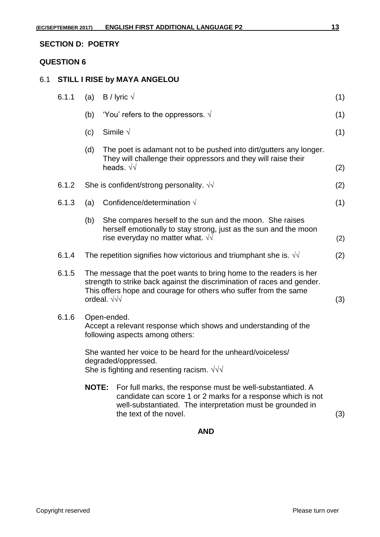#### **QUESTION 6**

### 6.1 **STILL I RISE by MAYA ANGELOU**

| 6.1.1 | (a)                                                                                                                                                                                                                                      | B / lyric $\sqrt$                                                                                                                                                                                                  | (1) |
|-------|------------------------------------------------------------------------------------------------------------------------------------------------------------------------------------------------------------------------------------------|--------------------------------------------------------------------------------------------------------------------------------------------------------------------------------------------------------------------|-----|
|       | (b)                                                                                                                                                                                                                                      | 'You' refers to the oppressors. $\sqrt{ }$                                                                                                                                                                         | (1) |
|       | (c)                                                                                                                                                                                                                                      | Simile $\sqrt{}$                                                                                                                                                                                                   | (1) |
|       | (d)                                                                                                                                                                                                                                      | The poet is adamant not to be pushed into dirt/gutters any longer.<br>They will challenge their oppressors and they will raise their<br>heads. $\sqrt{\sqrt{}}$                                                    | (2) |
| 6.1.2 |                                                                                                                                                                                                                                          | She is confident/strong personality. $\sqrt{v}$                                                                                                                                                                    |     |
| 6.1.3 | (a)                                                                                                                                                                                                                                      | Confidence/determination $\sqrt{}$                                                                                                                                                                                 | (1) |
|       | (b)                                                                                                                                                                                                                                      | She compares herself to the sun and the moon. She raises<br>herself emotionally to stay strong, just as the sun and the moon<br>rise everyday no matter what. √                                                    | (2) |
| 6.1.4 |                                                                                                                                                                                                                                          | The repetition signifies how victorious and triumphant she is. $\sqrt{v}$                                                                                                                                          |     |
| 6.1.5 | The message that the poet wants to bring home to the readers is her<br>strength to strike back against the discrimination of races and gender.<br>This offers hope and courage for others who suffer from the same<br>ordeal. $\sqrt{v}$ |                                                                                                                                                                                                                    |     |
| 6.1.6 |                                                                                                                                                                                                                                          | Open-ended.<br>Accept a relevant response which shows and understanding of the<br>following aspects among others:                                                                                                  |     |
|       |                                                                                                                                                                                                                                          | She wanted her voice to be heard for the unheard/voiceless/<br>degraded/oppressed.<br>She is fighting and resenting racism. $\sqrt{v}$                                                                             |     |
|       | <b>NOTE:</b>                                                                                                                                                                                                                             | For full marks, the response must be well-substantiated. A<br>candidate can score 1 or 2 marks for a response which is not<br>well-substantiated. The interpretation must be grounded in<br>the text of the novel. | (3) |

**AND**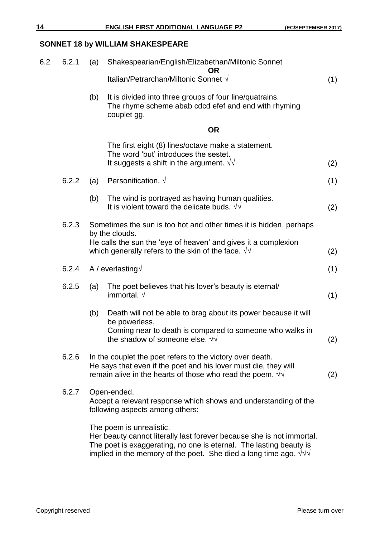## **SONNET 18 by WILLIAM SHAKESPEARE**

| 6.2 | 6.2.1 | (a) | Shakespearian/English/Elizabethan/Miltonic Sonnet<br><b>OR</b>                                                                                                                                                                                     |     |
|-----|-------|-----|----------------------------------------------------------------------------------------------------------------------------------------------------------------------------------------------------------------------------------------------------|-----|
|     |       |     | Italian/Petrarchan/Miltonic Sonnet √                                                                                                                                                                                                               | (1) |
|     |       | (b) | It is divided into three groups of four line/quatrains.<br>The rhyme scheme abab cdcd efef and end with rhyming<br>couplet gg.                                                                                                                     |     |
|     |       |     | <b>OR</b>                                                                                                                                                                                                                                          |     |
|     |       |     | The first eight (8) lines/octave make a statement.<br>The word 'but' introduces the sestet.<br>It suggests a shift in the argument. $\sqrt{v}$                                                                                                     | (2) |
|     | 6.2.2 | (a) | Personification. $\sqrt{ }$                                                                                                                                                                                                                        | (1) |
|     |       | (b) | The wind is portrayed as having human qualities.<br>It is violent toward the delicate buds. $\sqrt{v}$                                                                                                                                             | (2) |
|     | 6.2.3 |     | Sometimes the sun is too hot and other times it is hidden, perhaps<br>by the clouds.<br>He calls the sun the 'eye of heaven' and gives it a complexion<br>which generally refers to the skin of the face. $\sqrt{v}$                               | (2) |
|     | 6.2.4 |     | A / everlasting $\sqrt{}$                                                                                                                                                                                                                          | (1) |
|     | 6.2.5 | (a) | The poet believes that his lover's beauty is eternal/<br>immortal. $\sqrt{}$                                                                                                                                                                       | (1) |
|     |       | (b) | Death will not be able to brag about its power because it will<br>be powerless.<br>Coming near to death is compared to someone who walks in<br>the shadow of someone else. $\sqrt{v}$                                                              | (2) |
|     | 6.2.6 |     | In the couplet the poet refers to the victory over death.<br>He says that even if the poet and his lover must die, they will<br>remain alive in the hearts of those who read the poem. $\sqrt{v}$                                                  | (2) |
|     | 6.2.7 |     | Open-ended.<br>Accept a relevant response which shows and understanding of the<br>following aspects among others:                                                                                                                                  |     |
|     |       |     | The poem is unrealistic.<br>Her beauty cannot literally last forever because she is not immortal.<br>The poet is exaggerating, no one is eternal. The lasting beauty is<br>implied in the memory of the poet. She died a long time ago. $\sqrt{v}$ |     |